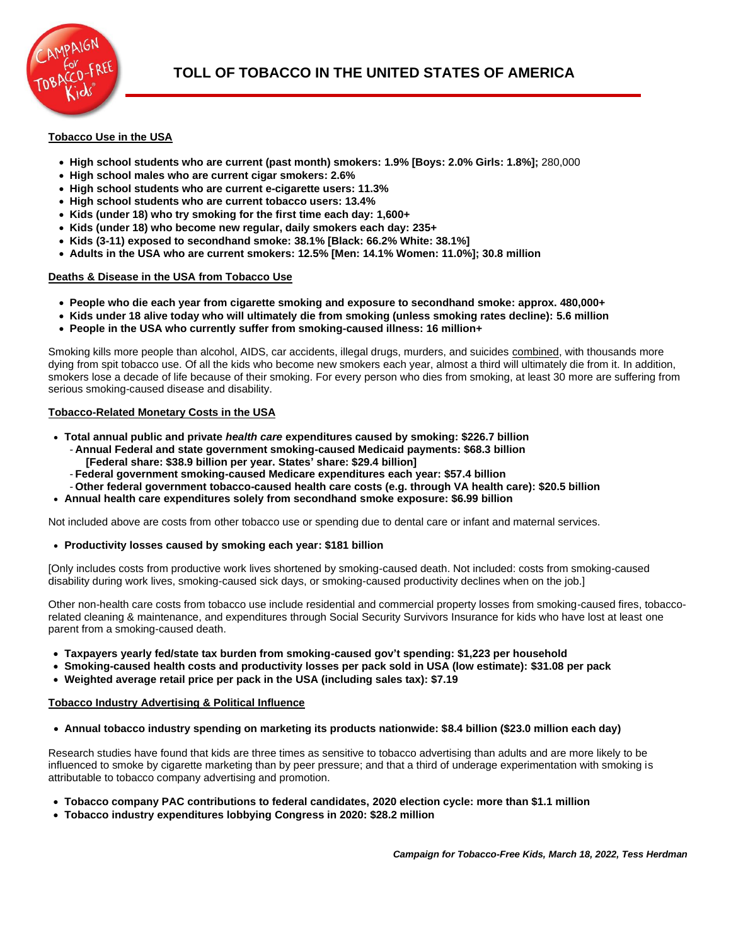

# **Tobacco Use in the USA**

- **High school students who are current (past month) smokers: 1.9% [Boys: 2.0% Girls: 1.8%];** 280,000
- **High school males who are current cigar smokers: 2.6%**
- **High school students who are current e-cigarette users: 11.3%**
- **High school students who are current tobacco users: 13.4%**
- **Kids (under 18) who try smoking for the first time each day: 1,600+**
- **Kids (under 18) who become new regular, daily smokers each day: 235+**
- **Kids (3-11) exposed to secondhand smoke: 38.1% [Black: 66.2% White: 38.1%]**
- **Adults in the USA who are current smokers: 12.5% [Men: 14.1% Women: 11.0%]; 30.8 million**

### **Deaths & Disease in the USA from Tobacco Use**

- **People who die each year from cigarette smoking and exposure to secondhand smoke: approx. 480,000+**
- **Kids under 18 alive today who will ultimately die from smoking (unless smoking rates decline): 5.6 million**
- **People in the USA who currently suffer from smoking-caused illness: 16 million+**

Smoking kills more people than alcohol, AIDS, car accidents, illegal drugs, murders, and suicides combined, with thousands more dying from spit tobacco use. Of all the kids who become new smokers each year, almost a third will ultimately die from it. In addition, smokers lose a decade of life because of their smoking. For every person who dies from smoking, at least 30 more are suffering from serious smoking-caused disease and disability.

### **Tobacco-Related Monetary Costs in the USA**

- **Total annual public and private** *health care* **expenditures caused by smoking: \$226.7 billion**
	- **Annual Federal and state government smoking-caused Medicaid payments: \$68.3 billion**
		- **[Federal share: \$38.9 billion per year. States' share: \$29.4 billion]**
	- **Federal government smoking-caused Medicare expenditures each year: \$57.4 billion**
	- **Other federal government tobacco-caused health care costs (e.g. through VA health care): \$20.5 billion**
- **Annual health care expenditures solely from secondhand smoke exposure: \$6.99 billion**

Not included above are costs from other tobacco use or spending due to dental care or infant and maternal services.

### • **Productivity losses caused by smoking each year: \$181 billion**

[Only includes costs from productive work lives shortened by smoking-caused death. Not included: costs from smoking-caused disability during work lives, smoking-caused sick days, or smoking-caused productivity declines when on the job.]

Other non-health care costs from tobacco use include residential and commercial property losses from smoking-caused fires, tobaccorelated cleaning & maintenance, and expenditures through Social Security Survivors Insurance for kids who have lost at least one parent from a smoking-caused death.

- **Taxpayers yearly fed/state tax burden from smoking-caused gov't spending: \$1,223 per household**
- **Smoking-caused health costs and productivity losses per pack sold in USA (low estimate): \$31.08 per pack**
- **Weighted average retail price per pack in the USA (including sales tax): \$7.19**

## **Tobacco Industry Advertising & Political Influence**

• **Annual tobacco industry spending on marketing its products nationwide: \$8.4 billion (\$23.0 million each day)**

Research studies have found that kids are three times as sensitive to tobacco advertising than adults and are more likely to be influenced to smoke by cigarette marketing than by peer pressure; and that a third of underage experimentation with smoking is attributable to tobacco company advertising and promotion.

- **Tobacco company PAC contributions to federal candidates, 2020 election cycle: more than \$1.1 million**
- **Tobacco industry expenditures lobbying Congress in 2020: \$28.2 million**